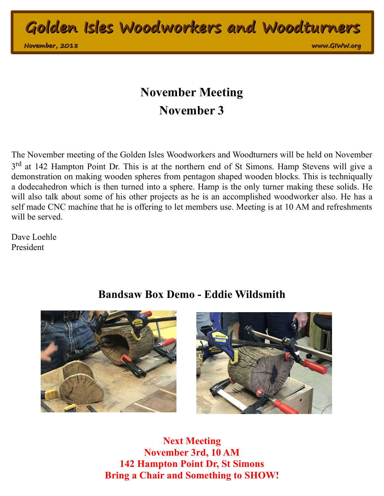**Golden Isles Woodworkers and Woodturners**

**November, 2018** 

**November, 2018 www.GIWW.org**

## **November Meeting November 3**

The November meeting of the Golden Isles Woodworkers and Woodturners will be held on November 3<sup>rd</sup> at 142 Hampton Point Dr. This is at the northern end of St Simons. Hamp Stevens will give a demonstration on making wooden spheres from pentagon shaped wooden blocks. This is techniqually a dodecahedron which is then turned into a sphere. Hamp is the only turner making these solids. He will also talk about some of his other projects as he is an accomplished woodworker also. He has a self made CNC machine that he is offering to let members use. Meeting is at 10 AM and refreshments will be served.

Dave Loehle President

## **Bandsaw Box Demo - Eddie Wildsmith**





**Next Meeting November 3rd, 10 AM 142 Hampton Point Dr, St Simons Bring a Chair and Something to SHOW!**